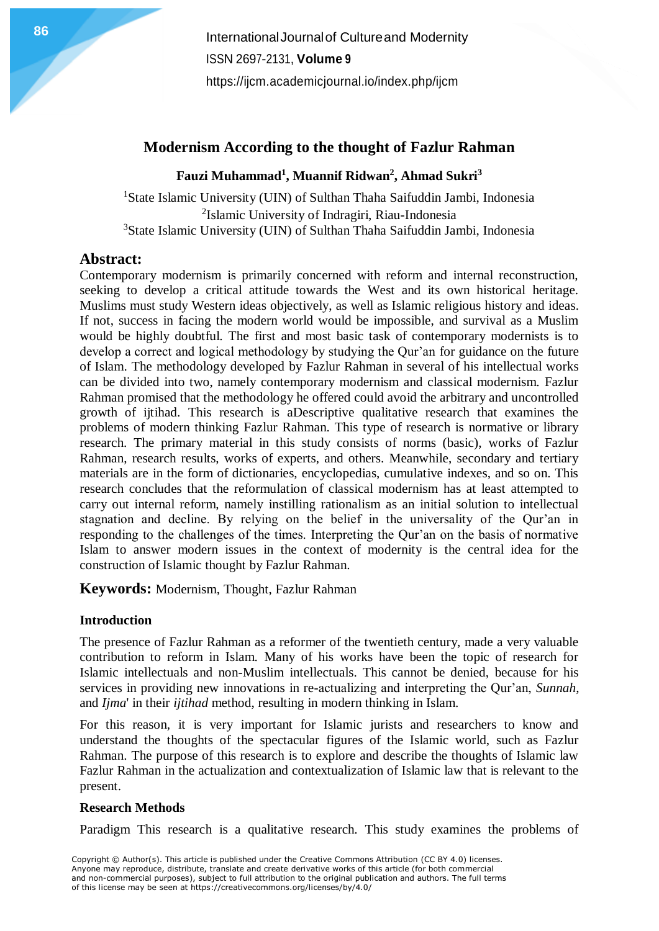**International Journal of Cultureand Modernity** ISSN 2697-2131, **Volume 9** <https://ijcm.academicjournal.io/index.php/ijcm>

# **Modernism According to the thought of Fazlur Rahman**

## **Fauzi Muhammad<sup>1</sup> , Muannif Ridwan<sup>2</sup> , Ahmad Sukri<sup>3</sup>**

<sup>1</sup>State Islamic University (UIN) of Sulthan Thaha Saifuddin Jambi, Indonesia 2 Islamic University of Indragiri, Riau-Indonesia <sup>3</sup>State Islamic University (UIN) of Sulthan Thaha Saifuddin Jambi, Indonesia

# **Abstract:**

Contemporary modernism is primarily concerned with reform and internal reconstruction, seeking to develop a critical attitude towards the West and its own historical heritage. Muslims must study Western ideas objectively, as well as Islamic religious history and ideas. If not, success in facing the modern world would be impossible, and survival as a Muslim would be highly doubtful. The first and most basic task of contemporary modernists is to develop a correct and logical methodology by studying the Qur'an for guidance on the future of Islam. The methodology developed by Fazlur Rahman in several of his intellectual works can be divided into two, namely contemporary modernism and classical modernism. Fazlur Rahman promised that the methodology he offered could avoid the arbitrary and uncontrolled growth of ijtihad. This research is aDescriptive qualitative research that examines the problems of modern thinking Fazlur Rahman. This type of research is normative or library research. The primary material in this study consists of norms (basic), works of Fazlur Rahman, research results, works of experts, and others. Meanwhile, secondary and tertiary materials are in the form of dictionaries, encyclopedias, cumulative indexes, and so on. This research concludes that the reformulation of classical modernism has at least attempted to carry out internal reform, namely instilling rationalism as an initial solution to intellectual stagnation and decline. By relying on the belief in the universality of the Qur'an in responding to the challenges of the times. Interpreting the Qur'an on the basis of normative Islam to answer modern issues in the context of modernity is the central idea for the construction of Islamic thought by Fazlur Rahman.

**Keywords:** Modernism, Thought, Fazlur Rahman

## **Introduction**

The presence of Fazlur Rahman as a reformer of the twentieth century, made a very valuable contribution to reform in Islam. Many of his works have been the topic of research for Islamic intellectuals and non-Muslim intellectuals. This cannot be denied, because for his services in providing new innovations in re-actualizing and interpreting the Qur'an, *Sunnah*, and *Ijma*' in their *ijtihad* method, resulting in modern thinking in Islam.

For this reason, it is very important for Islamic jurists and researchers to know and understand the thoughts of the spectacular figures of the Islamic world, such as Fazlur Rahman. The purpose of this research is to explore and describe the thoughts of Islamic law Fazlur Rahman in the actualization and contextualization of Islamic law that is relevant to the present.

## **Research Methods**

Paradigm This research is a qualitative research. This study examines the problems of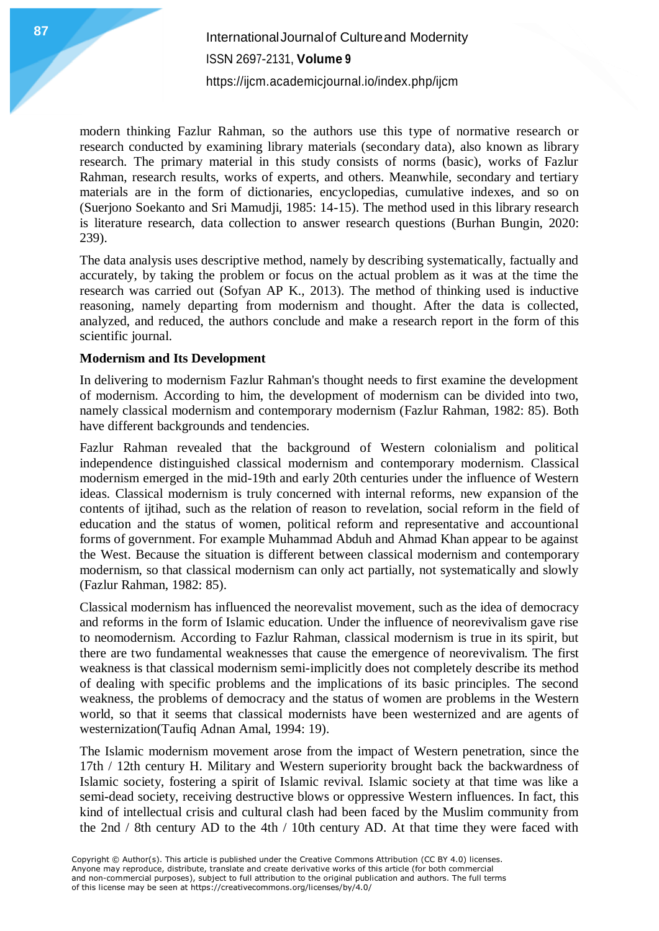modern thinking Fazlur Rahman, so the authors use this type of normative research or research conducted by examining library materials (secondary data), also known as library research. The primary material in this study consists of norms (basic), works of Fazlur Rahman, research results, works of experts, and others. Meanwhile, secondary and tertiary materials are in the form of dictionaries, encyclopedias, cumulative indexes, and so on (Suerjono Soekanto and Sri Mamudji, 1985: 14-15). The method used in this library research is literature research, data collection to answer research questions (Burhan Bungin, 2020: 239).

The data analysis uses descriptive method, namely by describing systematically, factually and accurately, by taking the problem or focus on the actual problem as it was at the time the research was carried out (Sofyan AP K., 2013). The method of thinking used is inductive reasoning, namely departing from modernism and thought. After the data is collected, analyzed, and reduced, the authors conclude and make a research report in the form of this scientific journal.

### **Modernism and Its Development**

In delivering to modernism Fazlur Rahman's thought needs to first examine the development of modernism. According to him, the development of modernism can be divided into two, namely classical modernism and contemporary modernism (Fazlur Rahman, 1982: 85). Both have different backgrounds and tendencies.

Fazlur Rahman revealed that the background of Western colonialism and political independence distinguished classical modernism and contemporary modernism. Classical modernism emerged in the mid-19th and early 20th centuries under the influence of Western ideas. Classical modernism is truly concerned with internal reforms, new expansion of the contents of ijtihad, such as the relation of reason to revelation, social reform in the field of education and the status of women, political reform and representative and accountional forms of government. For example Muhammad Abduh and Ahmad Khan appear to be against the West. Because the situation is different between classical modernism and contemporary modernism, so that classical modernism can only act partially, not systematically and slowly (Fazlur Rahman, 1982: 85).

Classical modernism has influenced the neorevalist movement, such as the idea of democracy and reforms in the form of Islamic education. Under the influence of neorevivalism gave rise to neomodernism. According to Fazlur Rahman, classical modernism is true in its spirit, but there are two fundamental weaknesses that cause the emergence of neorevivalism. The first weakness is that classical modernism semi-implicitly does not completely describe its method of dealing with specific problems and the implications of its basic principles. The second weakness, the problems of democracy and the status of women are problems in the Western world, so that it seems that classical modernists have been westernized and are agents of westernization(Taufiq Adnan Amal, 1994: 19).

The Islamic modernism movement arose from the impact of Western penetration, since the 17th / 12th century H. Military and Western superiority brought back the backwardness of Islamic society, fostering a spirit of Islamic revival. Islamic society at that time was like a semi-dead society, receiving destructive blows or oppressive Western influences. In fact, this kind of intellectual crisis and cultural clash had been faced by the Muslim community from the 2nd / 8th century AD to the 4th / 10th century AD. At that time they were faced with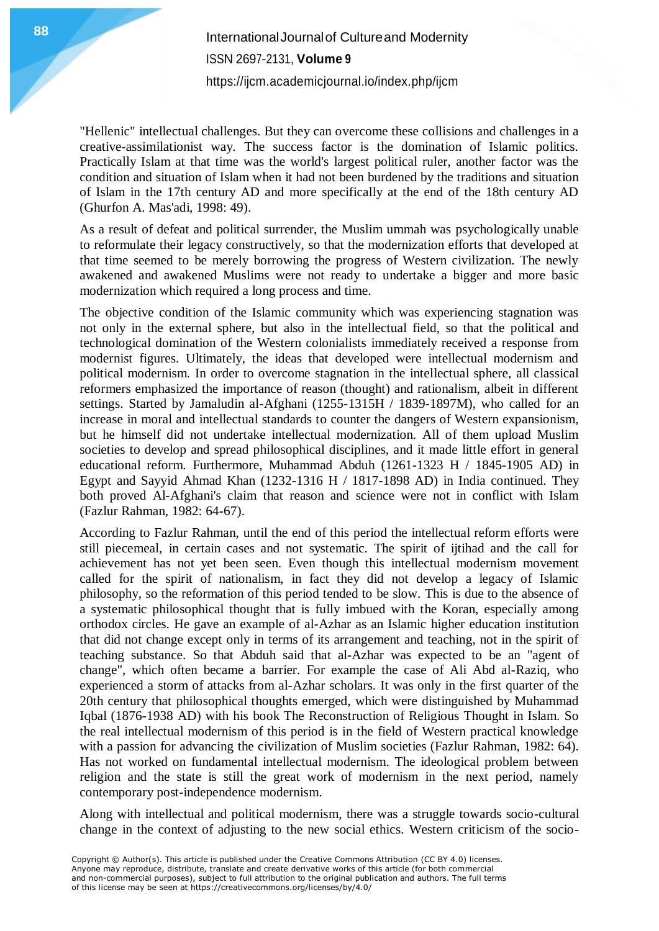"Hellenic" intellectual challenges. But they can overcome these collisions and challenges in a creative-assimilationist way. The success factor is the domination of Islamic politics. Practically Islam at that time was the world's largest political ruler, another factor was the condition and situation of Islam when it had not been burdened by the traditions and situation of Islam in the 17th century AD and more specifically at the end of the 18th century AD (Ghurfon A. Mas'adi, 1998: 49).

As a result of defeat and political surrender, the Muslim ummah was psychologically unable to reformulate their legacy constructively, so that the modernization efforts that developed at that time seemed to be merely borrowing the progress of Western civilization. The newly awakened and awakened Muslims were not ready to undertake a bigger and more basic modernization which required a long process and time.

The objective condition of the Islamic community which was experiencing stagnation was not only in the external sphere, but also in the intellectual field, so that the political and technological domination of the Western colonialists immediately received a response from modernist figures. Ultimately, the ideas that developed were intellectual modernism and political modernism. In order to overcome stagnation in the intellectual sphere, all classical reformers emphasized the importance of reason (thought) and rationalism, albeit in different settings. Started by Jamaludin al-Afghani (1255-1315H / 1839-1897M), who called for an increase in moral and intellectual standards to counter the dangers of Western expansionism, but he himself did not undertake intellectual modernization. All of them upload Muslim societies to develop and spread philosophical disciplines, and it made little effort in general educational reform. Furthermore, Muhammad Abduh (1261-1323 H / 1845-1905 AD) in Egypt and Sayyid Ahmad Khan (1232-1316 H / 1817-1898 AD) in India continued. They both proved Al-Afghani's claim that reason and science were not in conflict with Islam (Fazlur Rahman, 1982: 64-67).

According to Fazlur Rahman, until the end of this period the intellectual reform efforts were still piecemeal, in certain cases and not systematic. The spirit of ijtihad and the call for achievement has not yet been seen. Even though this intellectual modernism movement called for the spirit of nationalism, in fact they did not develop a legacy of Islamic philosophy, so the reformation of this period tended to be slow. This is due to the absence of a systematic philosophical thought that is fully imbued with the Koran, especially among orthodox circles. He gave an example of al-Azhar as an Islamic higher education institution that did not change except only in terms of its arrangement and teaching, not in the spirit of teaching substance. So that Abduh said that al-Azhar was expected to be an "agent of change", which often became a barrier. For example the case of Ali Abd al-Raziq, who experienced a storm of attacks from al-Azhar scholars. It was only in the first quarter of the 20th century that philosophical thoughts emerged, which were distinguished by Muhammad Iqbal (1876-1938 AD) with his book The Reconstruction of Religious Thought in Islam. So the real intellectual modernism of this period is in the field of Western practical knowledge with a passion for advancing the civilization of Muslim societies (Fazlur Rahman, 1982: 64). Has not worked on fundamental intellectual modernism. The ideological problem between religion and the state is still the great work of modernism in the next period, namely contemporary post-independence modernism.

Along with intellectual and political modernism, there was a struggle towards socio-cultural change in the context of adjusting to the new social ethics. Western criticism of the socio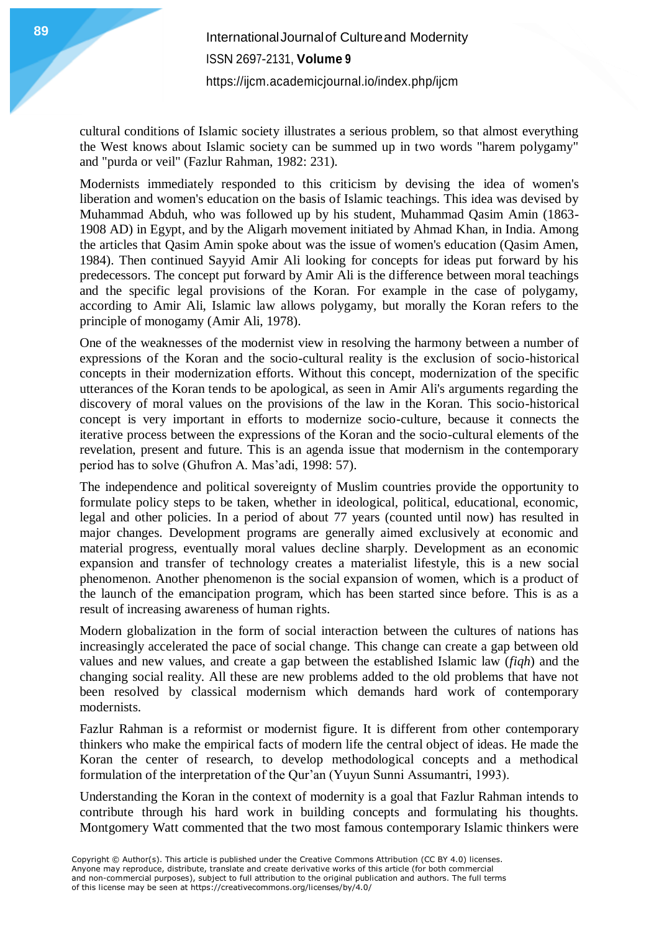cultural conditions of Islamic society illustrates a serious problem, so that almost everything the West knows about Islamic society can be summed up in two words "harem polygamy" and "purda or veil" (Fazlur Rahman, 1982: 231).

Modernists immediately responded to this criticism by devising the idea of women's liberation and women's education on the basis of Islamic teachings. This idea was devised by Muhammad Abduh, who was followed up by his student, Muhammad Qasim Amin (1863- 1908 AD) in Egypt, and by the Aligarh movement initiated by Ahmad Khan, in India. Among the articles that Qasim Amin spoke about was the issue of women's education (Qasim Amen, 1984). Then continued Sayyid Amir Ali looking for concepts for ideas put forward by his predecessors. The concept put forward by Amir Ali is the difference between moral teachings and the specific legal provisions of the Koran. For example in the case of polygamy, according to Amir Ali, Islamic law allows polygamy, but morally the Koran refers to the principle of monogamy (Amir Ali, 1978).

One of the weaknesses of the modernist view in resolving the harmony between a number of expressions of the Koran and the socio-cultural reality is the exclusion of socio-historical concepts in their modernization efforts. Without this concept, modernization of the specific utterances of the Koran tends to be apological, as seen in Amir Ali's arguments regarding the discovery of moral values on the provisions of the law in the Koran. This socio-historical concept is very important in efforts to modernize socio-culture, because it connects the iterative process between the expressions of the Koran and the socio-cultural elements of the revelation, present and future. This is an agenda issue that modernism in the contemporary period has to solve (Ghufron A. Mas'adi, 1998: 57).

The independence and political sovereignty of Muslim countries provide the opportunity to formulate policy steps to be taken, whether in ideological, political, educational, economic, legal and other policies. In a period of about 77 years (counted until now) has resulted in major changes. Development programs are generally aimed exclusively at economic and material progress, eventually moral values decline sharply. Development as an economic expansion and transfer of technology creates a materialist lifestyle, this is a new social phenomenon. Another phenomenon is the social expansion of women, which is a product of the launch of the emancipation program, which has been started since before. This is as a result of increasing awareness of human rights.

Modern globalization in the form of social interaction between the cultures of nations has increasingly accelerated the pace of social change. This change can create a gap between old values and new values, and create a gap between the established Islamic law (*fiqh*) and the changing social reality. All these are new problems added to the old problems that have not been resolved by classical modernism which demands hard work of contemporary modernists.

Fazlur Rahman is a reformist or modernist figure. It is different from other contemporary thinkers who make the empirical facts of modern life the central object of ideas. He made the Koran the center of research, to develop methodological concepts and a methodical formulation of the interpretation of the Qur'an (Yuyun Sunni Assumantri, 1993).

Understanding the Koran in the context of modernity is a goal that Fazlur Rahman intends to contribute through his hard work in building concepts and formulating his thoughts. Montgomery Watt commented that the two most famous contemporary Islamic thinkers were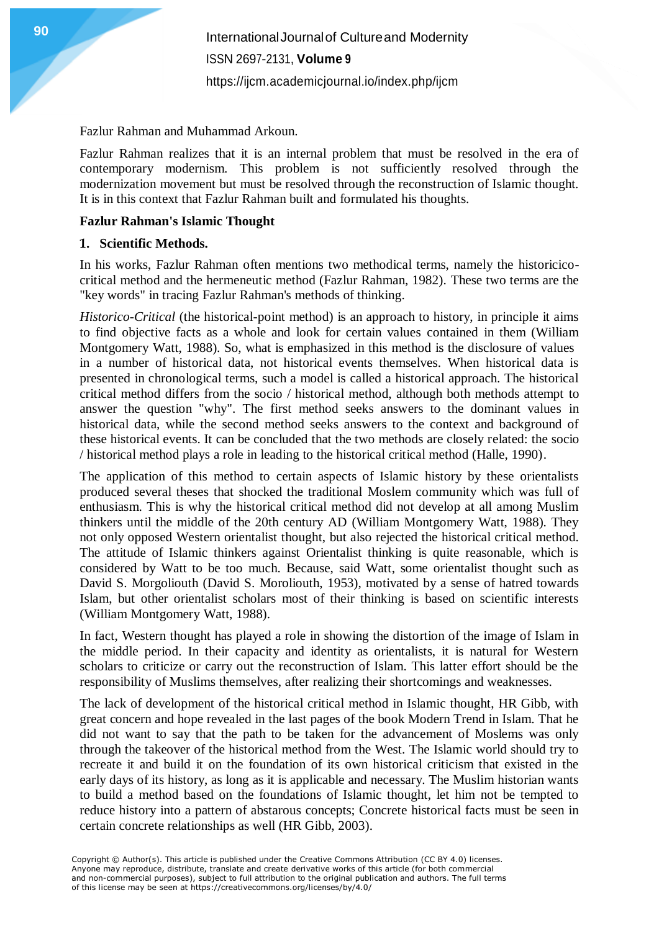Fazlur Rahman and Muhammad Arkoun.

Fazlur Rahman realizes that it is an internal problem that must be resolved in the era of contemporary modernism. This problem is not sufficiently resolved through the modernization movement but must be resolved through the reconstruction of Islamic thought. It is in this context that Fazlur Rahman built and formulated his thoughts.

### **Fazlur Rahman's Islamic Thought**

### **1. Scientific Methods.**

In his works, Fazlur Rahman often mentions two methodical terms, namely the historicicocritical method and the hermeneutic method (Fazlur Rahman, 1982). These two terms are the "key words" in tracing Fazlur Rahman's methods of thinking.

*Historico-Critical* (the historical-point method) is an approach to history, in principle it aims to find objective facts as a whole and look for certain values contained in them (William Montgomery Watt, 1988). So, what is emphasized in this method is the disclosure of values in a number of historical data, not historical events themselves. When historical data is presented in chronological terms, such a model is called a historical approach. The historical critical method differs from the socio / historical method, although both methods attempt to answer the question "why". The first method seeks answers to the dominant values in historical data, while the second method seeks answers to the context and background of these historical events. It can be concluded that the two methods are closely related: the socio / historical method plays a role in leading to the historical critical method (Halle, 1990).

The application of this method to certain aspects of Islamic history by these orientalists produced several theses that shocked the traditional Moslem community which was full of enthusiasm. This is why the historical critical method did not develop at all among Muslim thinkers until the middle of the 20th century AD (William Montgomery Watt, 1988). They not only opposed Western orientalist thought, but also rejected the historical critical method. The attitude of Islamic thinkers against Orientalist thinking is quite reasonable, which is considered by Watt to be too much. Because, said Watt, some orientalist thought such as David S. Morgoliouth (David S. Moroliouth, 1953), motivated by a sense of hatred towards Islam, but other orientalist scholars most of their thinking is based on scientific interests (William Montgomery Watt, 1988).

In fact, Western thought has played a role in showing the distortion of the image of Islam in the middle period. In their capacity and identity as orientalists, it is natural for Western scholars to criticize or carry out the reconstruction of Islam. This latter effort should be the responsibility of Muslims themselves, after realizing their shortcomings and weaknesses.

The lack of development of the historical critical method in Islamic thought, HR Gibb, with great concern and hope revealed in the last pages of the book Modern Trend in Islam. That he did not want to say that the path to be taken for the advancement of Moslems was only through the takeover of the historical method from the West. The Islamic world should try to recreate it and build it on the foundation of its own historical criticism that existed in the early days of its history, as long as it is applicable and necessary. The Muslim historian wants to build a method based on the foundations of Islamic thought, let him not be tempted to reduce history into a pattern of abstarous concepts; Concrete historical facts must be seen in certain concrete relationships as well (HR Gibb, 2003).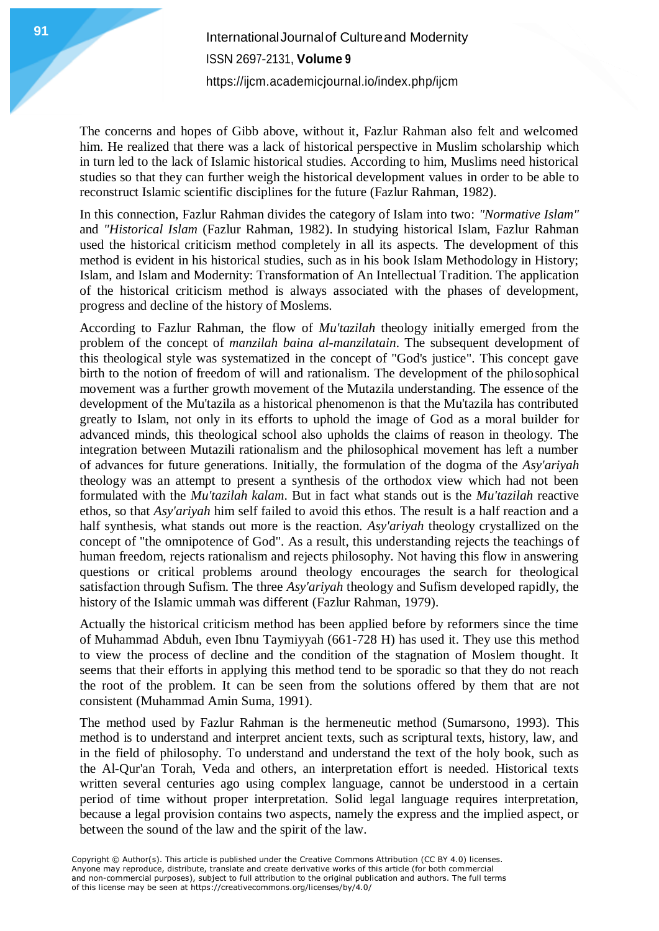The concerns and hopes of Gibb above, without it, Fazlur Rahman also felt and welcomed him. He realized that there was a lack of historical perspective in Muslim scholarship which in turn led to the lack of Islamic historical studies. According to him, Muslims need historical studies so that they can further weigh the historical development values in order to be able to reconstruct Islamic scientific disciplines for the future (Fazlur Rahman, 1982).

In this connection, Fazlur Rahman divides the category of Islam into two: *"Normative Islam"* and *"Historical Islam* (Fazlur Rahman, 1982). In studying historical Islam, Fazlur Rahman used the historical criticism method completely in all its aspects. The development of this method is evident in his historical studies, such as in his book Islam Methodology in History; Islam, and Islam and Modernity: Transformation of An Intellectual Tradition. The application of the historical criticism method is always associated with the phases of development, progress and decline of the history of Moslems.

According to Fazlur Rahman, the flow of *Mu'tazilah* theology initially emerged from the problem of the concept of *manzilah baina al-manzilatain*. The subsequent development of this theological style was systematized in the concept of "God's justice". This concept gave birth to the notion of freedom of will and rationalism. The development of the philosophical movement was a further growth movement of the Mutazila understanding. The essence of the development of the Mu'tazila as a historical phenomenon is that the Mu'tazila has contributed greatly to Islam, not only in its efforts to uphold the image of God as a moral builder for advanced minds, this theological school also upholds the claims of reason in theology. The integration between Mutazili rationalism and the philosophical movement has left a number of advances for future generations. Initially, the formulation of the dogma of the *Asy'ariyah* theology was an attempt to present a synthesis of the orthodox view which had not been formulated with the *Mu'tazilah kalam*. But in fact what stands out is the *Mu'tazilah* reactive ethos, so that *Asy'ariyah* him self failed to avoid this ethos. The result is a half reaction and a half synthesis, what stands out more is the reaction. *Asy'ariyah* theology crystallized on the concept of "the omnipotence of God". As a result, this understanding rejects the teachings of human freedom, rejects rationalism and rejects philosophy. Not having this flow in answering questions or critical problems around theology encourages the search for theological satisfaction through Sufism. The three *Asy'ariyah* theology and Sufism developed rapidly, the history of the Islamic ummah was different (Fazlur Rahman, 1979).

Actually the historical criticism method has been applied before by reformers since the time of Muhammad Abduh, even Ibnu Taymiyyah (661-728 H) has used it. They use this method to view the process of decline and the condition of the stagnation of Moslem thought. It seems that their efforts in applying this method tend to be sporadic so that they do not reach the root of the problem. It can be seen from the solutions offered by them that are not consistent (Muhammad Amin Suma, 1991).

The method used by Fazlur Rahman is the hermeneutic method (Sumarsono, 1993). This method is to understand and interpret ancient texts, such as scriptural texts, history, law, and in the field of philosophy. To understand and understand the text of the holy book, such as the Al-Qur'an Torah, Veda and others, an interpretation effort is needed. Historical texts written several centuries ago using complex language, cannot be understood in a certain period of time without proper interpretation. Solid legal language requires interpretation, because a legal provision contains two aspects, namely the express and the implied aspect, or between the sound of the law and the spirit of the law.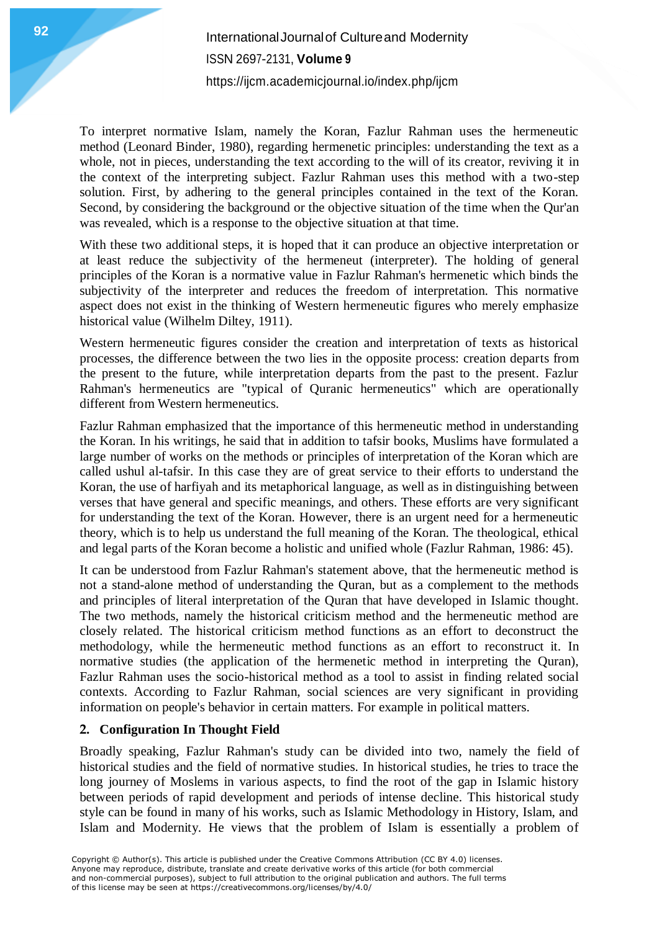To interpret normative Islam, namely the Koran, Fazlur Rahman uses the hermeneutic method (Leonard Binder, 1980), regarding hermenetic principles: understanding the text as a whole, not in pieces, understanding the text according to the will of its creator, reviving it in the context of the interpreting subject. Fazlur Rahman uses this method with a two-step solution. First, by adhering to the general principles contained in the text of the Koran. Second, by considering the background or the objective situation of the time when the Qur'an was revealed, which is a response to the objective situation at that time.

With these two additional steps, it is hoped that it can produce an objective interpretation or at least reduce the subjectivity of the hermeneut (interpreter). The holding of general principles of the Koran is a normative value in Fazlur Rahman's hermenetic which binds the subjectivity of the interpreter and reduces the freedom of interpretation. This normative aspect does not exist in the thinking of Western hermeneutic figures who merely emphasize historical value (Wilhelm Diltey, 1911).

Western hermeneutic figures consider the creation and interpretation of texts as historical processes, the difference between the two lies in the opposite process: creation departs from the present to the future, while interpretation departs from the past to the present. Fazlur Rahman's hermeneutics are "typical of Quranic hermeneutics" which are operationally different from Western hermeneutics.

Fazlur Rahman emphasized that the importance of this hermeneutic method in understanding the Koran. In his writings, he said that in addition to tafsir books, Muslims have formulated a large number of works on the methods or principles of interpretation of the Koran which are called ushul al-tafsir. In this case they are of great service to their efforts to understand the Koran, the use of harfiyah and its metaphorical language, as well as in distinguishing between verses that have general and specific meanings, and others. These efforts are very significant for understanding the text of the Koran. However, there is an urgent need for a hermeneutic theory, which is to help us understand the full meaning of the Koran. The theological, ethical and legal parts of the Koran become a holistic and unified whole (Fazlur Rahman, 1986: 45).

It can be understood from Fazlur Rahman's statement above, that the hermeneutic method is not a stand-alone method of understanding the Quran, but as a complement to the methods and principles of literal interpretation of the Quran that have developed in Islamic thought. The two methods, namely the historical criticism method and the hermeneutic method are closely related. The historical criticism method functions as an effort to deconstruct the methodology, while the hermeneutic method functions as an effort to reconstruct it. In normative studies (the application of the hermenetic method in interpreting the Quran), Fazlur Rahman uses the socio-historical method as a tool to assist in finding related social contexts. According to Fazlur Rahman, social sciences are very significant in providing information on people's behavior in certain matters. For example in political matters.

## **2. Configuration In Thought Field**

Broadly speaking, Fazlur Rahman's study can be divided into two, namely the field of historical studies and the field of normative studies. In historical studies, he tries to trace the long journey of Moslems in various aspects, to find the root of the gap in Islamic history between periods of rapid development and periods of intense decline. This historical study style can be found in many of his works, such as Islamic Methodology in History, Islam, and Islam and Modernity. He views that the problem of Islam is essentially a problem of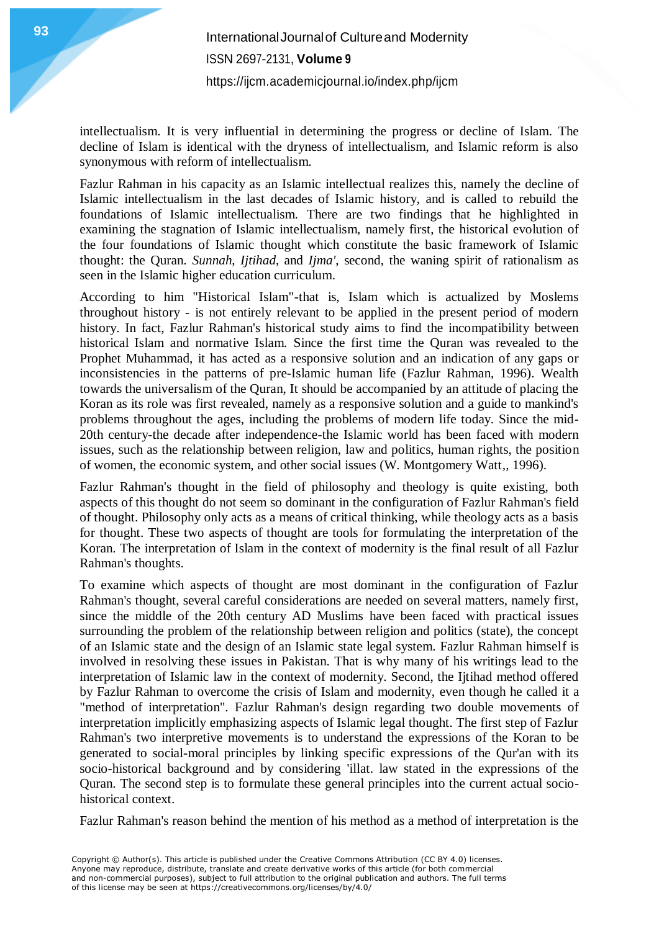**International Journal of Cultureand Modernity** ISSN 2697-2131, **Volume 9** <https://ijcm.academicjournal.io/index.php/ijcm>

intellectualism. It is very influential in determining the progress or decline of Islam. The decline of Islam is identical with the dryness of intellectualism, and Islamic reform is also synonymous with reform of intellectualism.

Fazlur Rahman in his capacity as an Islamic intellectual realizes this, namely the decline of Islamic intellectualism in the last decades of Islamic history, and is called to rebuild the foundations of Islamic intellectualism. There are two findings that he highlighted in examining the stagnation of Islamic intellectualism, namely first, the historical evolution of the four foundations of Islamic thought which constitute the basic framework of Islamic thought: the Quran. *Sunnah*, *Ijtihad*, and *Ijma'*, second, the waning spirit of rationalism as seen in the Islamic higher education curriculum.

According to him "Historical Islam"-that is, Islam which is actualized by Moslems throughout history - is not entirely relevant to be applied in the present period of modern history. In fact, Fazlur Rahman's historical study aims to find the incompatibility between historical Islam and normative Islam. Since the first time the Quran was revealed to the Prophet Muhammad, it has acted as a responsive solution and an indication of any gaps or inconsistencies in the patterns of pre-Islamic human life (Fazlur Rahman, 1996). Wealth towards the universalism of the Quran, It should be accompanied by an attitude of placing the Koran as its role was first revealed, namely as a responsive solution and a guide to mankind's problems throughout the ages, including the problems of modern life today. Since the mid-20th century-the decade after independence-the Islamic world has been faced with modern issues, such as the relationship between religion, law and politics, human rights, the position of women, the economic system, and other social issues (W. Montgomery Watt*,,* 1996).

Fazlur Rahman's thought in the field of philosophy and theology is quite existing, both aspects of this thought do not seem so dominant in the configuration of Fazlur Rahman's field of thought. Philosophy only acts as a means of critical thinking, while theology acts as a basis for thought. These two aspects of thought are tools for formulating the interpretation of the Koran. The interpretation of Islam in the context of modernity is the final result of all Fazlur Rahman's thoughts.

To examine which aspects of thought are most dominant in the configuration of Fazlur Rahman's thought, several careful considerations are needed on several matters, namely first, since the middle of the 20th century AD Muslims have been faced with practical issues surrounding the problem of the relationship between religion and politics (state), the concept of an Islamic state and the design of an Islamic state legal system. Fazlur Rahman himself is involved in resolving these issues in Pakistan. That is why many of his writings lead to the interpretation of Islamic law in the context of modernity. Second, the Ijtihad method offered by Fazlur Rahman to overcome the crisis of Islam and modernity, even though he called it a "method of interpretation". Fazlur Rahman's design regarding two double movements of interpretation implicitly emphasizing aspects of Islamic legal thought. The first step of Fazlur Rahman's two interpretive movements is to understand the expressions of the Koran to be generated to social-moral principles by linking specific expressions of the Qur'an with its socio-historical background and by considering 'illat. law stated in the expressions of the Quran. The second step is to formulate these general principles into the current actual sociohistorical context.

Fazlur Rahman's reason behind the mention of his method as a method of interpretation is the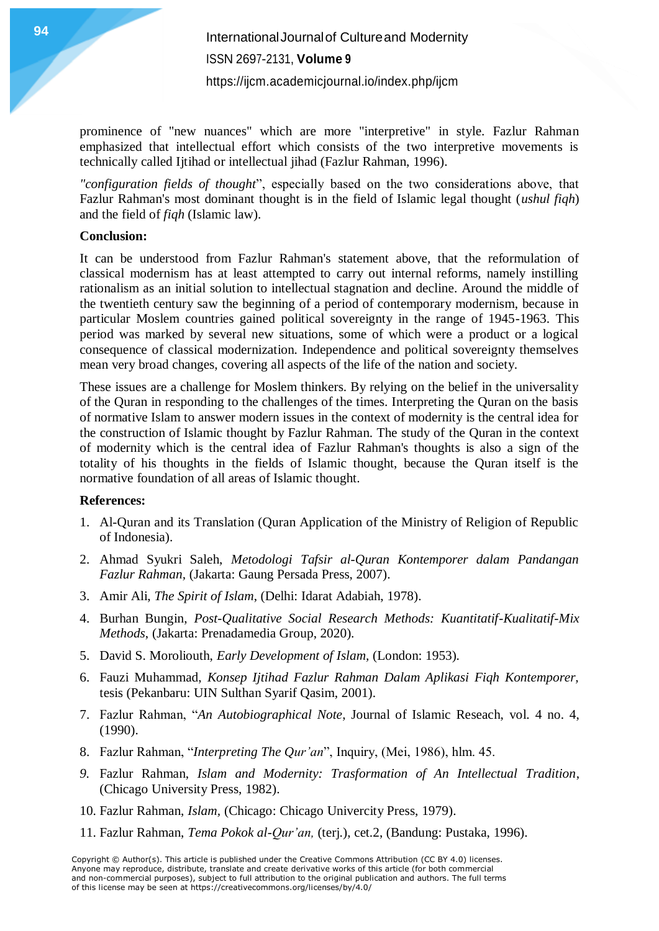prominence of "new nuances" which are more "interpretive" in style. Fazlur Rahman emphasized that intellectual effort which consists of the two interpretive movements is technically called Ijtihad or intellectual jihad (Fazlur Rahman, 1996).

*"configuration fields of thought*", especially based on the two considerations above, that Fazlur Rahman's most dominant thought is in the field of Islamic legal thought (*ushul fiqh*) and the field of *fiqh* (Islamic law).

#### **Conclusion:**

It can be understood from Fazlur Rahman's statement above, that the reformulation of classical modernism has at least attempted to carry out internal reforms, namely instilling rationalism as an initial solution to intellectual stagnation and decline. Around the middle of the twentieth century saw the beginning of a period of contemporary modernism, because in particular Moslem countries gained political sovereignty in the range of 1945-1963. This period was marked by several new situations, some of which were a product or a logical consequence of classical modernization. Independence and political sovereignty themselves mean very broad changes, covering all aspects of the life of the nation and society.

These issues are a challenge for Moslem thinkers. By relying on the belief in the universality of the Quran in responding to the challenges of the times. Interpreting the Quran on the basis of normative Islam to answer modern issues in the context of modernity is the central idea for the construction of Islamic thought by Fazlur Rahman. The study of the Quran in the context of modernity which is the central idea of Fazlur Rahman's thoughts is also a sign of the totality of his thoughts in the fields of Islamic thought, because the Quran itself is the normative foundation of all areas of Islamic thought.

#### **References:**

- 1. Al-Quran and its Translation (Quran Application of the Ministry of Religion of Republic of Indonesia).
- 2. Ahmad Syukri Saleh, *Metodologi Tafsir al-Quran Kontemporer dalam Pandangan Fazlur Rahman,* (Jakarta: Gaung Persada Press, 2007).
- 3. Amir Ali, *The Spirit of Islam*, (Delhi: Idarat Adabiah, 1978).
- 4. Burhan Bungin, *Post-Qualitative Social Research Methods: Kuantitatif-Kualitatif-Mix Methods*, (Jakarta: Prenadamedia Group, 2020).
- 5. David S. Moroliouth, *Early Development of Islam,* (London: 1953).
- 6. Fauzi Muhammad, *Konsep Ijtihad Fazlur Rahman Dalam Aplikasi Fiqh Kontemporer,* tesis (Pekanbaru: UIN Sulthan Syarif Qasim, 2001).
- 7. Fazlur Rahman, "*An Autobiographical Note*, Journal of Islamic Reseach, vol. 4 no. 4, (1990).
- 8. Fazlur Rahman, "*Interpreting The Qur'an*", Inquiry, (Mei, 1986), hlm. 45.
- *9.* Fazlur Rahman, *Islam and Modernity: Trasformation of An Intellectual Tradition*, (Chicago University Press, 1982).
- 10. Fazlur Rahman, *Islam,* (Chicago: Chicago Univercity Press, 1979).
- 11. Fazlur Rahman, *Tema Pokok al-Qur'an,* (terj.), cet.2, (Bandung: Pustaka, 1996).